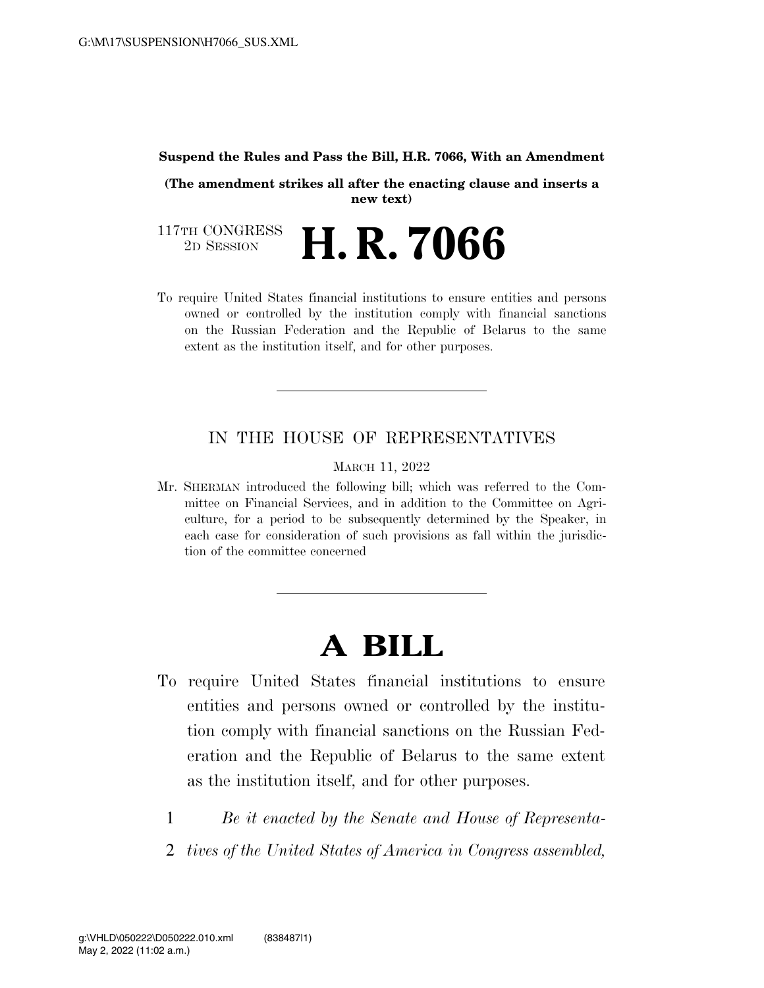#### **Suspend the Rules and Pass the Bill, H.R. 7066, With an Amendment**

**(The amendment strikes all after the enacting clause and inserts a new text)** 

117TH CONGRESS<br>2D SESSION 2D SESSION **H. R. 7066** 

To require United States financial institutions to ensure entities and persons owned or controlled by the institution comply with financial sanctions on the Russian Federation and the Republic of Belarus to the same extent as the institution itself, and for other purposes.

## IN THE HOUSE OF REPRESENTATIVES

MARCH 11, 2022

Mr. SHERMAN introduced the following bill; which was referred to the Committee on Financial Services, and in addition to the Committee on Agriculture, for a period to be subsequently determined by the Speaker, in each case for consideration of such provisions as fall within the jurisdiction of the committee concerned

# **A BILL**

- To require United States financial institutions to ensure entities and persons owned or controlled by the institution comply with financial sanctions on the Russian Federation and the Republic of Belarus to the same extent as the institution itself, and for other purposes.
	- 1 *Be it enacted by the Senate and House of Representa-*
	- 2 *tives of the United States of America in Congress assembled,*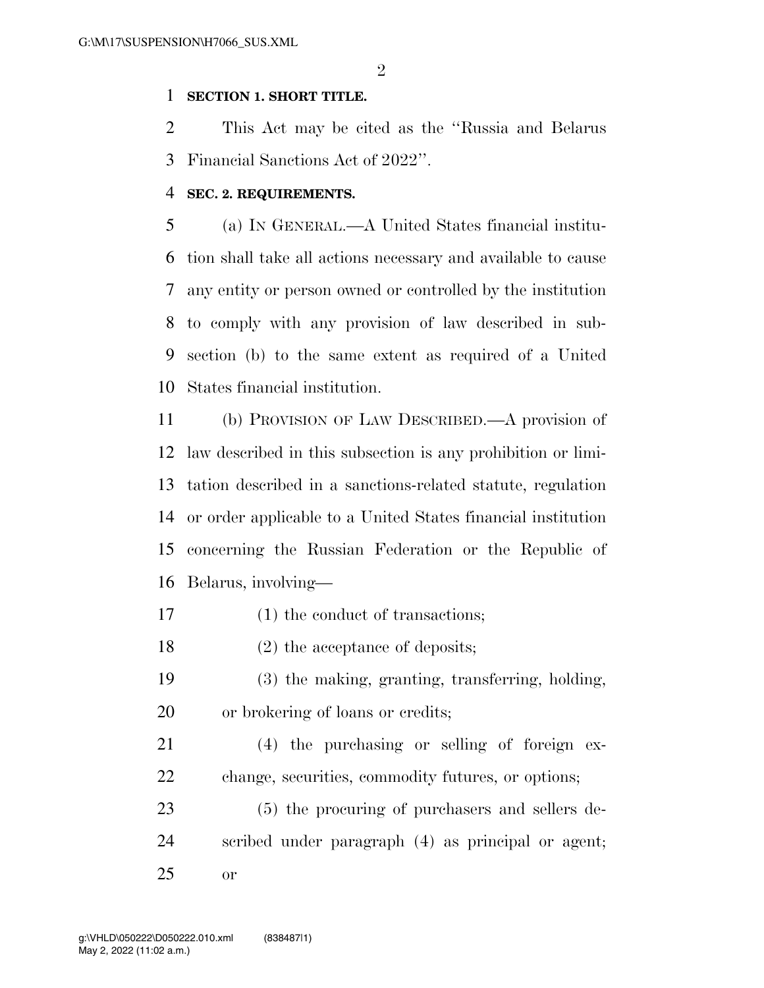$\mathfrak{D}$ 

### **SECTION 1. SHORT TITLE.**

 This Act may be cited as the ''Russia and Belarus Financial Sanctions Act of 2022''.

### **SEC. 2. REQUIREMENTS.**

 (a) IN GENERAL.—A United States financial institu- tion shall take all actions necessary and available to cause any entity or person owned or controlled by the institution to comply with any provision of law described in sub- section (b) to the same extent as required of a United States financial institution.

 (b) PROVISION OF LAW DESCRIBED.—A provision of law described in this subsection is any prohibition or limi- tation described in a sanctions-related statute, regulation or order applicable to a United States financial institution concerning the Russian Federation or the Republic of Belarus, involving—

- 17 (1) the conduct of transactions;
- 18 (2) the acceptance of deposits;
- (3) the making, granting, transferring, holding, or brokering of loans or credits;
- (4) the purchasing or selling of foreign ex-change, securities, commodity futures, or options;
- (5) the procuring of purchasers and sellers de- scribed under paragraph (4) as principal or agent; or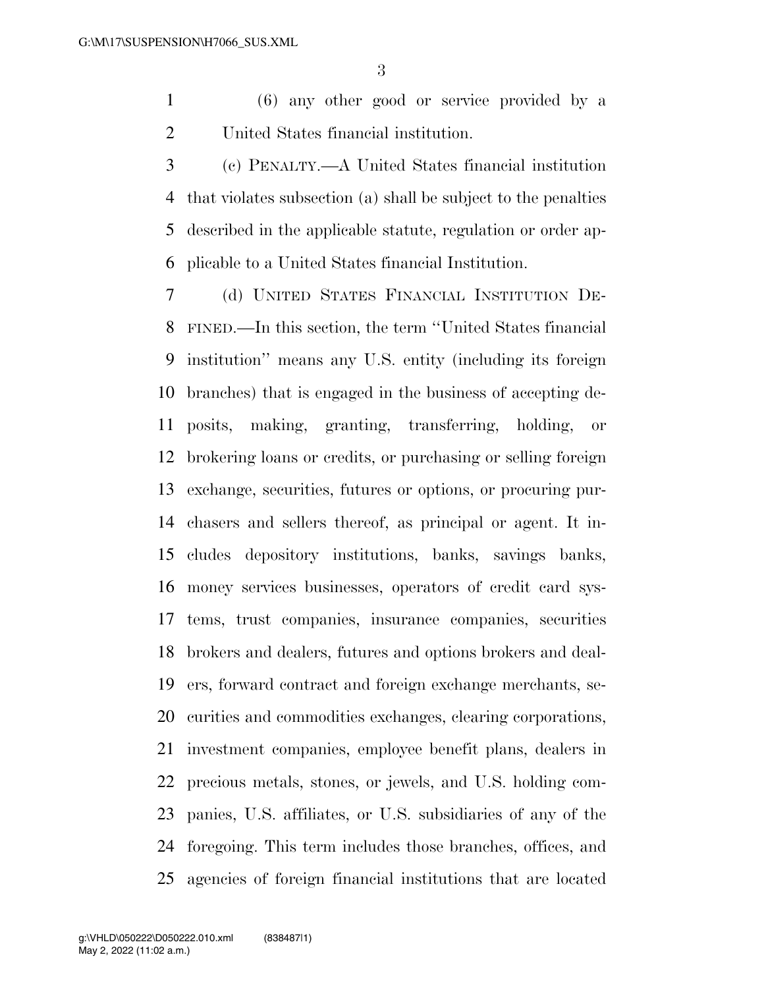(6) any other good or service provided by a United States financial institution.

 (c) PENALTY.—A United States financial institution that violates subsection (a) shall be subject to the penalties described in the applicable statute, regulation or order ap-plicable to a United States financial Institution.

 (d) UNITED STATES FINANCIAL INSTITUTION DE- FINED.—In this section, the term ''United States financial institution'' means any U.S. entity (including its foreign branches) that is engaged in the business of accepting de- posits, making, granting, transferring, holding, or brokering loans or credits, or purchasing or selling foreign exchange, securities, futures or options, or procuring pur- chasers and sellers thereof, as principal or agent. It in- cludes depository institutions, banks, savings banks, money services businesses, operators of credit card sys- tems, trust companies, insurance companies, securities brokers and dealers, futures and options brokers and deal- ers, forward contract and foreign exchange merchants, se- curities and commodities exchanges, clearing corporations, investment companies, employee benefit plans, dealers in precious metals, stones, or jewels, and U.S. holding com- panies, U.S. affiliates, or U.S. subsidiaries of any of the foregoing. This term includes those branches, offices, and agencies of foreign financial institutions that are located